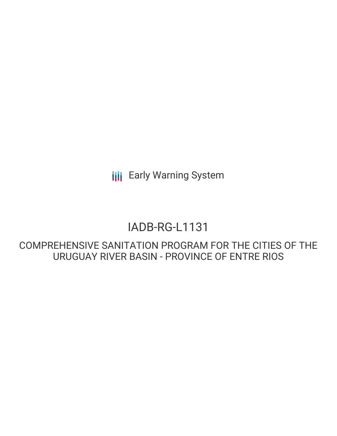**III** Early Warning System

# IADB-RG-L1131

COMPREHENSIVE SANITATION PROGRAM FOR THE CITIES OF THE URUGUAY RIVER BASIN - PROVINCE OF ENTRE RIOS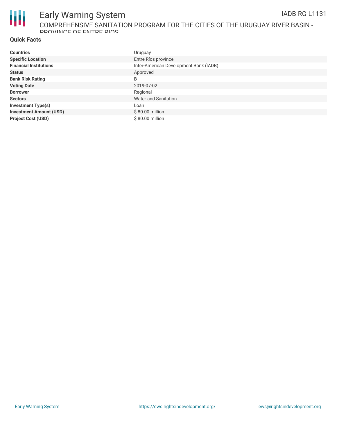

### **Quick Facts**

| <b>Countries</b>               | Uruguay                                |
|--------------------------------|----------------------------------------|
| <b>Specific Location</b>       | Entre Ríos province                    |
| <b>Financial Institutions</b>  | Inter-American Development Bank (IADB) |
| <b>Status</b>                  | Approved                               |
| <b>Bank Risk Rating</b>        | B                                      |
| <b>Voting Date</b>             | 2019-07-02                             |
| <b>Borrower</b>                | Regional                               |
| <b>Sectors</b>                 | Water and Sanitation                   |
| <b>Investment Type(s)</b>      | Loan                                   |
| <b>Investment Amount (USD)</b> | $$80.00$ million                       |
| <b>Project Cost (USD)</b>      | \$80.00 million                        |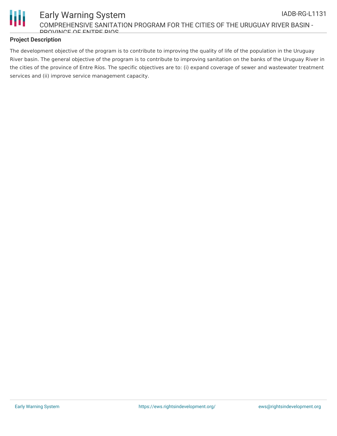

## **Project Description**

The development objective of the program is to contribute to improving the quality of life of the population in the Uruguay River basin. The general objective of the program is to contribute to improving sanitation on the banks of the Uruguay River in the cities of the province of Entre Ríos. The specific objectives are to: (i) expand coverage of sewer and wastewater treatment services and (ii) improve service management capacity.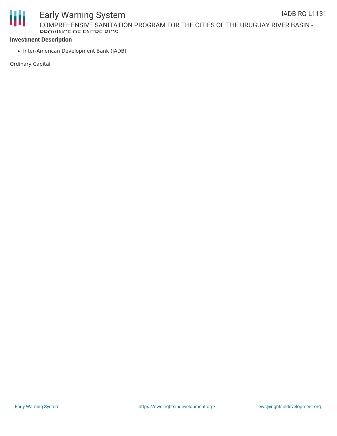

#### **Investment Description**

• Inter-American Development Bank (IADB)

Ordinary Capital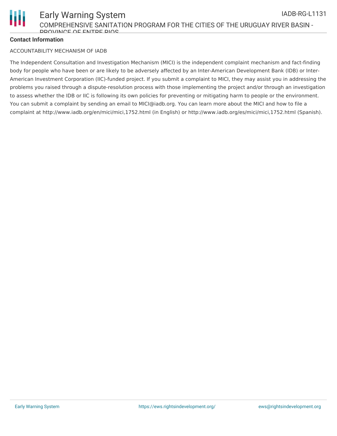

## **Contact Information**

#### ACCOUNTABILITY MECHANISM OF IADB

The Independent Consultation and Investigation Mechanism (MICI) is the independent complaint mechanism and fact-finding body for people who have been or are likely to be adversely affected by an Inter-American Development Bank (IDB) or Inter-American Investment Corporation (IIC)-funded project. If you submit a complaint to MICI, they may assist you in addressing the problems you raised through a dispute-resolution process with those implementing the project and/or through an investigation to assess whether the IDB or IIC is following its own policies for preventing or mitigating harm to people or the environment. You can submit a complaint by sending an email to MICI@iadb.org. You can learn more about the MICI and how to file a complaint at http://www.iadb.org/en/mici/mici,1752.html (in English) or http://www.iadb.org/es/mici/mici,1752.html (Spanish).